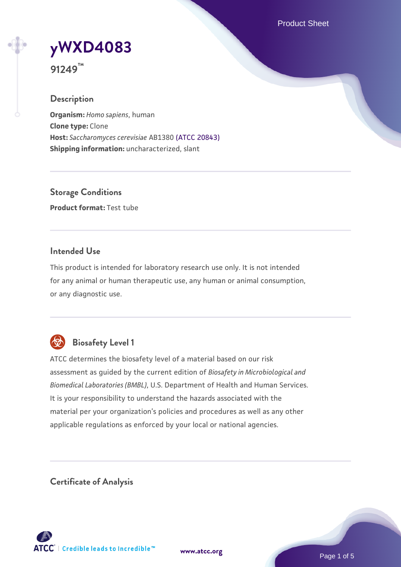Product Sheet

# **[yWXD4083](https://www.atcc.org/products/91249)**

**91249™**

## **Description**

**Organism:** *Homo sapiens*, human **Clone type:** Clone **Host:** *Saccharomyces cerevisiae* AB1380 [\(ATCC 20843\)](https://www.atcc.org/products/20843) **Shipping information:** uncharacterized, slant

**Storage Conditions Product format:** Test tube

## **Intended Use**

This product is intended for laboratory research use only. It is not intended for any animal or human therapeutic use, any human or animal consumption, or any diagnostic use.



# **Biosafety Level 1**

ATCC determines the biosafety level of a material based on our risk assessment as guided by the current edition of *Biosafety in Microbiological and Biomedical Laboratories (BMBL)*, U.S. Department of Health and Human Services. It is your responsibility to understand the hazards associated with the material per your organization's policies and procedures as well as any other applicable regulations as enforced by your local or national agencies.

**Certificate of Analysis**

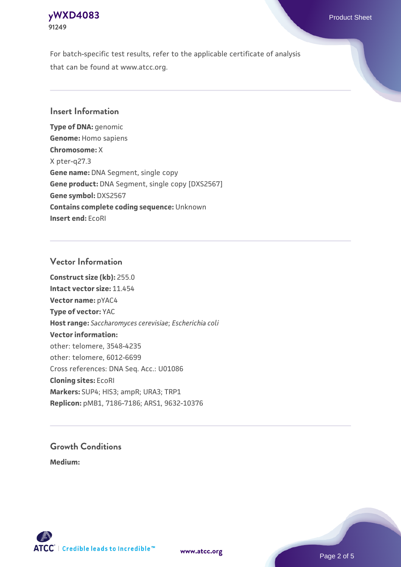## **[yWXD4083](https://www.atcc.org/products/91249)** Product Sheet **91249**

For batch-specific test results, refer to the applicable certificate of analysis that can be found at www.atcc.org.

## **Insert Information**

**Type of DNA:** genomic **Genome:** Homo sapiens **Chromosome:** X X pter-q27.3 **Gene name:** DNA Segment, single copy **Gene product:** DNA Segment, single copy [DXS2567] **Gene symbol:** DXS2567 **Contains complete coding sequence:** Unknown **Insert end:** EcoRI

## **Vector Information**

**Construct size (kb):** 255.0 **Intact vector size:** 11.454 **Vector name:** pYAC4 **Type of vector:** YAC **Host range:** *Saccharomyces cerevisiae*; *Escherichia coli* **Vector information:** other: telomere, 3548-4235 other: telomere, 6012-6699 Cross references: DNA Seq. Acc.: U01086 **Cloning sites:** EcoRI **Markers:** SUP4; HIS3; ampR; URA3; TRP1 **Replicon:** pMB1, 7186-7186; ARS1, 9632-10376

# **Growth Conditions**

**Medium:** 



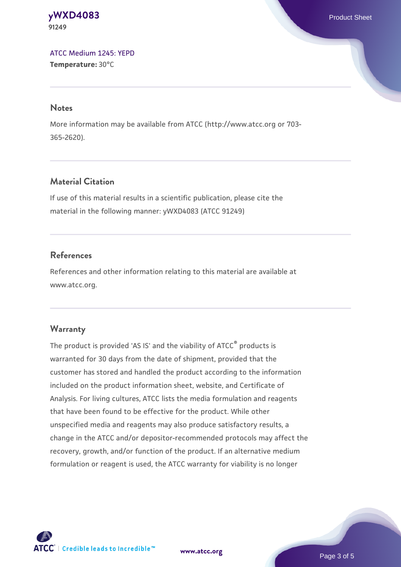#### **[yWXD4083](https://www.atcc.org/products/91249)** Product Sheet **91249**

[ATCC Medium 1245: YEPD](https://www.atcc.org/-/media/product-assets/documents/microbial-media-formulations/1/2/4/5/atcc-medium-1245.pdf?rev=705ca55d1b6f490a808a965d5c072196) **Temperature:** 30°C

#### **Notes**

More information may be available from ATCC (http://www.atcc.org or 703- 365-2620).

## **Material Citation**

If use of this material results in a scientific publication, please cite the material in the following manner: yWXD4083 (ATCC 91249)

## **References**

References and other information relating to this material are available at www.atcc.org.

### **Warranty**

The product is provided 'AS IS' and the viability of ATCC® products is warranted for 30 days from the date of shipment, provided that the customer has stored and handled the product according to the information included on the product information sheet, website, and Certificate of Analysis. For living cultures, ATCC lists the media formulation and reagents that have been found to be effective for the product. While other unspecified media and reagents may also produce satisfactory results, a change in the ATCC and/or depositor-recommended protocols may affect the recovery, growth, and/or function of the product. If an alternative medium formulation or reagent is used, the ATCC warranty for viability is no longer



**[www.atcc.org](http://www.atcc.org)**

Page 3 of 5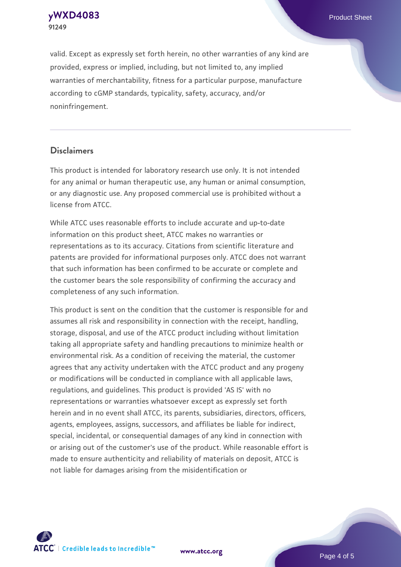**[yWXD4083](https://www.atcc.org/products/91249)** Product Sheet **91249**

valid. Except as expressly set forth herein, no other warranties of any kind are provided, express or implied, including, but not limited to, any implied warranties of merchantability, fitness for a particular purpose, manufacture according to cGMP standards, typicality, safety, accuracy, and/or noninfringement.

#### **Disclaimers**

This product is intended for laboratory research use only. It is not intended for any animal or human therapeutic use, any human or animal consumption, or any diagnostic use. Any proposed commercial use is prohibited without a license from ATCC.

While ATCC uses reasonable efforts to include accurate and up-to-date information on this product sheet, ATCC makes no warranties or representations as to its accuracy. Citations from scientific literature and patents are provided for informational purposes only. ATCC does not warrant that such information has been confirmed to be accurate or complete and the customer bears the sole responsibility of confirming the accuracy and completeness of any such information.

This product is sent on the condition that the customer is responsible for and assumes all risk and responsibility in connection with the receipt, handling, storage, disposal, and use of the ATCC product including without limitation taking all appropriate safety and handling precautions to minimize health or environmental risk. As a condition of receiving the material, the customer agrees that any activity undertaken with the ATCC product and any progeny or modifications will be conducted in compliance with all applicable laws, regulations, and guidelines. This product is provided 'AS IS' with no representations or warranties whatsoever except as expressly set forth herein and in no event shall ATCC, its parents, subsidiaries, directors, officers, agents, employees, assigns, successors, and affiliates be liable for indirect, special, incidental, or consequential damages of any kind in connection with or arising out of the customer's use of the product. While reasonable effort is made to ensure authenticity and reliability of materials on deposit, ATCC is not liable for damages arising from the misidentification or



**[www.atcc.org](http://www.atcc.org)**

Page 4 of 5